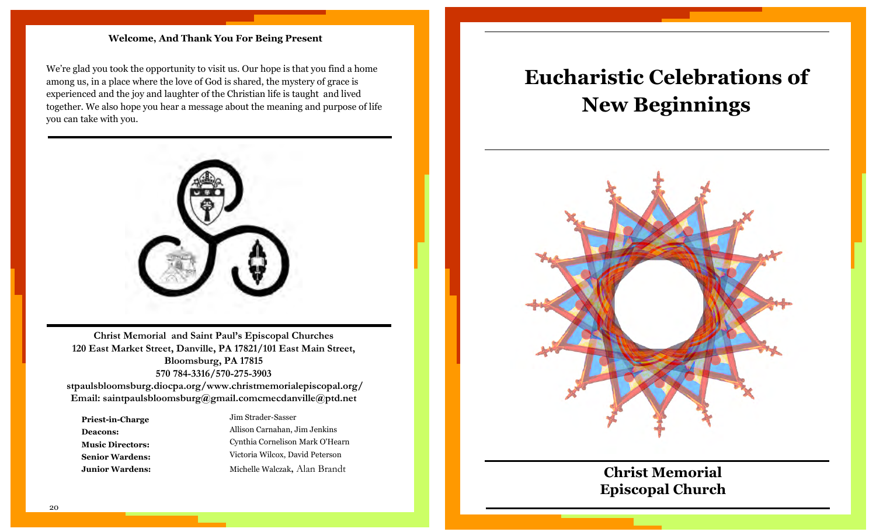#### **Welcome, And Thank You For Being Present**

We're glad you took the opportunity to visit us. Our hope is that you find a home among us, in a place where the love of God is shared, the mystery of grace is experienced and the joy and laughter of the Christian life is taught and lived together. We also hope you hear a message about the meaning and purpose of life you can take with you.



**Christ Memorial and Saint Paul's Episcopal Churches 120 East Market Street, Danville, PA 17821/101 East Main Street, Bloomsburg, PA 17815 570 784-3316/570-275-3903** 

 **stpaulsbloomsburg.diocpa.org/www.christmemorialepiscopal.org/ Email: saintpaulsbloomsburg@gmail.comcmecdanville@ptd.net**

**Priest-in-Charge Deacons: Music Directors: Senior Wardens: Junior Wardens:**

#### Jim Strader-Sasser

Allison Carnahan, Jim Jenkins Cynthia Cornelison Mark O'Hearn Victoria Wilcox, David Peterson

# **Eucharistic Celebrations of New Beginnings**



### Michelle Walczak, Alan Brandt **Christ Memorial Episcopal Church**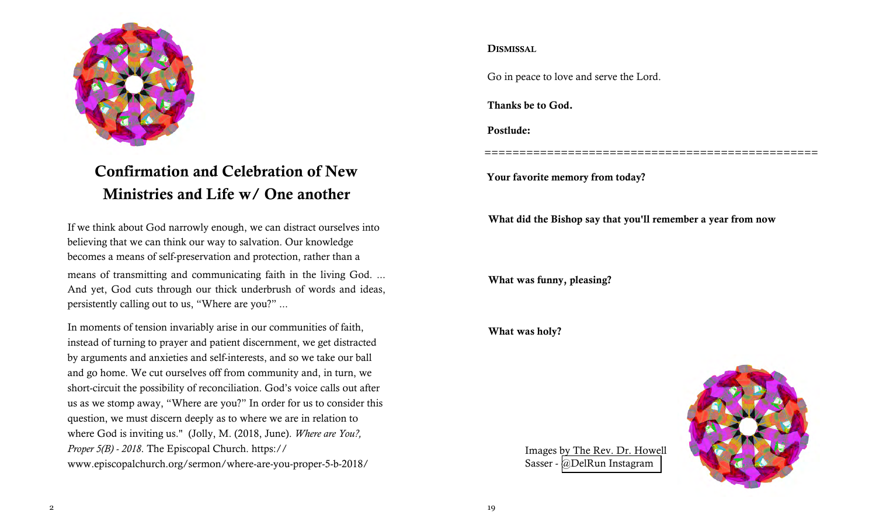

## Confirmation and Celebration of New Ministries and Life w/ One another

If we think about God narrowly enough, we can distract ourselves into believing that we can think our way to salvation. Our knowledge becomes a means of self-preservation and protection, rather than a means of transmitting and communicating faith in the living God. ... And yet, God cuts through our thick underbrush of words and ideas, persistently calling out to us, "Where are you?" ...

In moments of tension invariably arise in our communities of faith, instead of turning to prayer and patient discernment, we get distracted by arguments and anxieties and self-interests, and so we take our ball and go home. We cut ourselves off from community and, in turn, we short-circuit the possibility of reconciliation. God's voice calls out after us as we stomp away, "Where are you?" In order for us to consider this question, we must discern deeply as to where we are in relation to where God is inviting us." (Jolly, M. (2018, June). *Where are You?, Proper 5(B) - 2018*. The Episcopal Church. https:// www.episcopalchurch.org/sermon/where-are-you-proper-5-b-2018/

### DISMISSAL

Go in peace to love and serve the Lord.

Thanks be to God.

Postlude:

================================================

Your favorite memory from today?

What d**id the Bishop say that you'll remember a year from now**

What was funny, pleasing?

What was holy?

Images by The Rev. Dr. Howell Sasser - [@DelRun Instagram](https://www.instagram.com/del_run/)

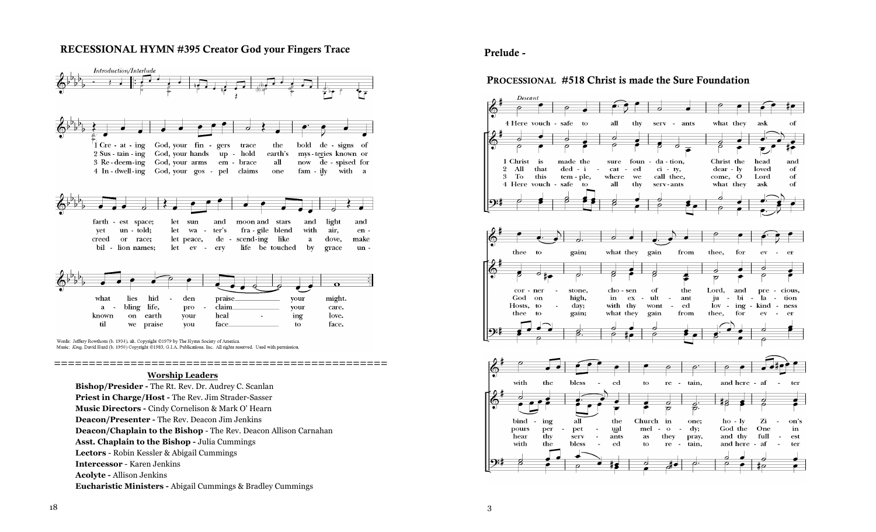#### RECESSIONAL HYMN #**395 Creator God your Fingers Trace**



**Asst. Chaplain to the Bishop -** Julia Cummings **Lectors** - Robin Kessler & Abigail Cummings

**Eucharistic Ministers -** Abigail Cummings & Bradley Cummings

**Intercessor** - Karen Jenkins **Acolyte -** Allison Jenkins

Prelude -





18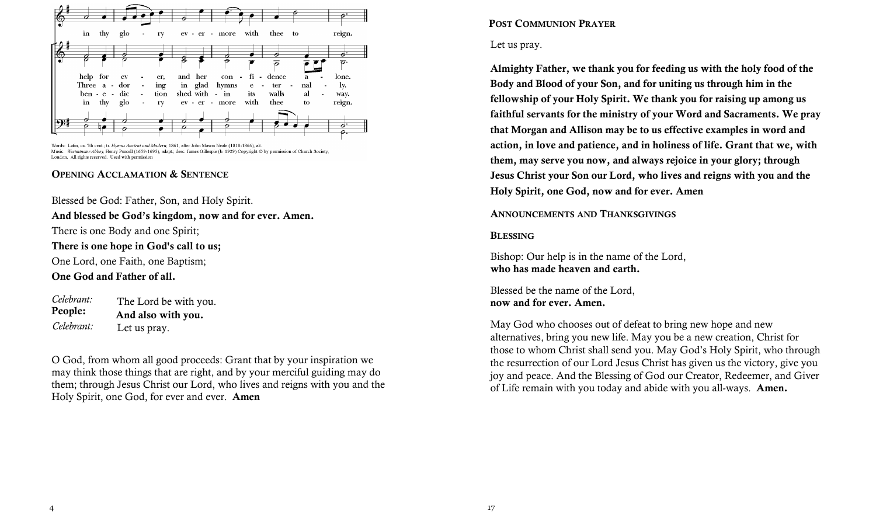

Words: Latin, ca. 7th cent.; tr. Hymns Ancient and Modern, 1861, after John Mason Neale (1818-1866), alt. Music: Westminster Abbey, Henry Purcell (1659-1695), adapt.; desc. James Gillespie (b. 1929) Copyright @ by permission of Church Society London. All rights reserved. Used with permission

### OPENING ACCLAMATION & SENTENCE

Blessed be God: Father, Son, and Holy Spirit.

And blessed be God's kingdom, now and for ever. Amen.

There is one Body and one Spirit;

### There is one hope in God's call to us;

One Lord, one Faith, one Baptism;

One God and Father of all.

*Celebrant:* The Lord be with you.<br>**People:** And also with you. And also with you. *Celebrant:* Let us pray.

O God, from whom all good proceeds: Grant that by your inspiration we may think those things that are right, and by your merciful guiding may do them; through Jesus Christ our Lord, who lives and reigns with you and the Holy Spirit, one God, for ever and ever. Amen

### POST COMMUNION PRAYER

### Let us pray.

**Almighty Father, we thank you for feeding us with the holy food of the Body and Blood of your Son, and for uniting us through him in the fellowship of your Holy Spirit. We thank you for raising up among us faithful servants for the ministry of your Word and Sacraments. We pray that Morgan and Allison may be to us effective examples in word and action, in love and patience, and in holiness of life. Grant that we, with them, may serve you now, and always rejoice in your glory; through Jesus Christ your Son our Lord, who lives and reigns with you and the Holy Spirit, one God, now and for ever. Amen**

### ANNOUNCEMENTS AND THANKSGIVINGS

### BLESSING

Bishop: Our help is in the name of the Lord, **who has made heaven and earth.**

Blessed be the name of the Lord, **now and for ever. Amen.**

May God who chooses out of defeat to bring new hope and new alternatives, bring you new life. May you be a new creation, Christ for those to whom Christ shall send you. May God's Holy Spirit, who through the resurrection of our Lord Jesus Christ has given us the victory, give you joy and peace. And the Blessing of God our Creator, Redeemer, and Giver of Life remain with you today and abide with you all-ways. Amen.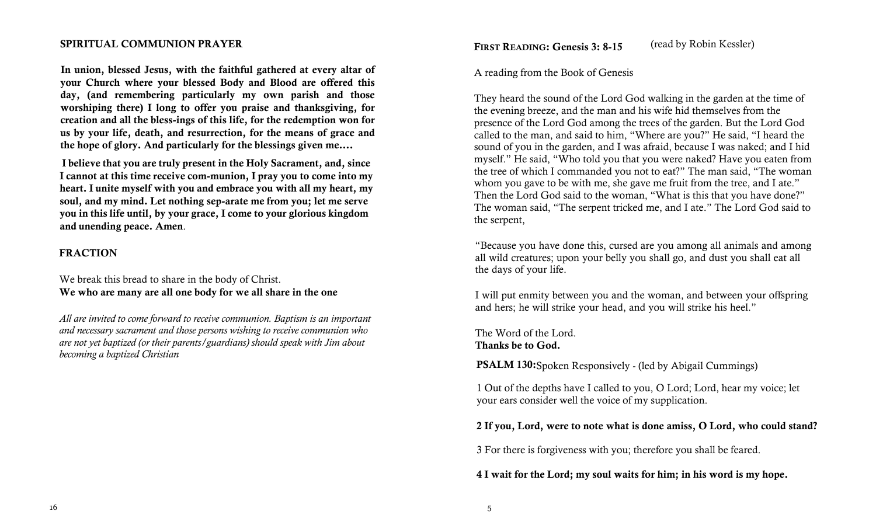#### SPIRITUAL COMMUNION PRAYER

In union, blessed Jesus, with the faithful gathered at every altar of your Church where your blessed Body and Blood are offered this day, (and remembering particularly my own parish and those worshiping there) I long to offer you praise and thanksgiving, for creation and all the bless-ings of this life, for the redemption won for us by your life, death, and resurrection, for the means of grace and the hope of glory. And particularly for the blessings given me….

 I believe that you are truly present in the Holy Sacrament, and, since I cannot at this time receive com-munion, I pray you to come into my heart. I unite myself with you and embrace you with all my heart, my soul, and my mind. Let nothing sep-arate me from you; let me serve you in this life until, by your grace, I come to your glorious kingdom and unending peace. Amen.

### FRACTION

We break this bread to share in the body of Christ. We who are many are all one body for we all share in the one

*All are invited to come forward to receive communion. Baptism is an important and necessary sacrament and those persons wishing to receive communion who are not yet baptized (or their parents/guardians) should speak with Jim about becoming a baptized Christian* 

A reading from the Book of Genesis

They heard the sound of the Lord God walking in the garden at the time of the evening breeze, and the man and his wife hid themselves from the presence of the Lord God among the trees of the garden. But the Lord God called to the man, and said to him, "Where are you?" He said, "I heard the sound of you in the garden, and I was afraid, because I was naked; and I hid myself." He said, "Who told you that you were naked? Have you eaten from the tree of which I commanded you not to eat?" The man said, "The woman whom you gave to be with me, she gave me fruit from the tree, and I ate." Then the Lord God said to the woman, "What is this that you have done?" The woman said, "The serpent tricked me, and I ate." The Lord God said to the serpent,

"Because you have done this, cursed are you among all animals and among all wild creatures; upon your belly you shall go, and dust you shall eat all the days of your life.

I will put enmity between you and the woman, and between your offspring and hers; he will strike your head, and you will strike his heel."

The Word of the Lord. Thanks be to God.

**PSALM 130:** Spoken Responsively - (led by Abigail Cummings)

1 Out of the depths have I called to you, O Lord; Lord, hear my voice; let your ears consider well the voice of my supplication.

### **2 If you, Lord, were to note what is done amiss, O Lord, who could stand?**

3 For there is forgiveness with you; therefore you shall be feared.

**4 I wait for the Lord; my soul waits for him; in his word is my hope.**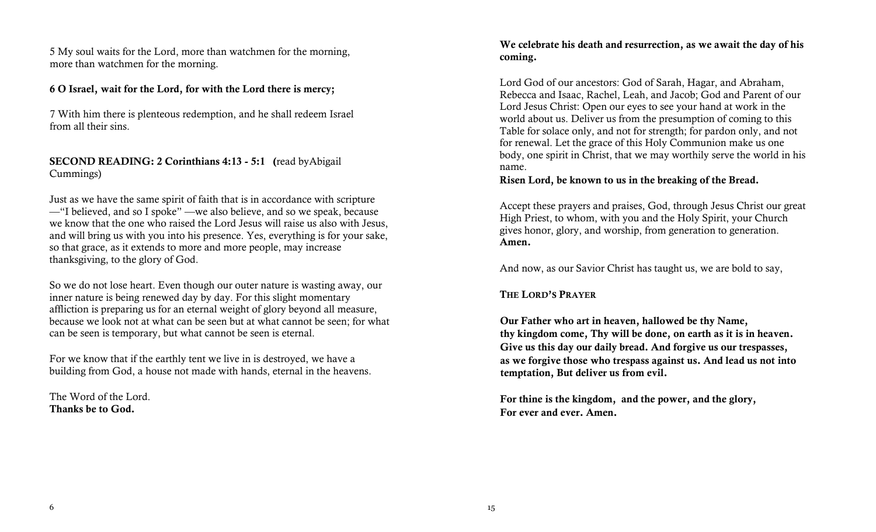5 My soul waits for the Lord, more than watchmen for the morning, more than watchmen for the morning.

### **6 O Israel, wait for the Lord, for with the Lord there is mercy;**

7 With him there is plenteous redemption, and he shall redeem Israel from all their sins.

### **SECOND READING: 2 Corinthians 4:13 - 5:1** (read byAbigail Cummings)

Just as we have the same spirit of faith that is in accordance with scripture —"I believed, and so I spoke" —we also believe, and so we speak, because we know that the one who raised the Lord Jesus will raise us also with Jesus, and will bring us with you into his presence. Yes, everything is for your sake, so that grace, as it extends to more and more people, may increase thanksgiving, to the glory of God.

So we do not lose heart. Even though our outer nature is wasting away, our inner nature is being renewed day by day. For this slight momentary affliction is preparing us for an eternal weight of glory beyond all measure, because we look not at what can be seen but at what cannot be seen; for what can be seen is temporary, but what cannot be seen is eternal.

For we know that if the earthly tent we live in is destroyed, we have a building from God, a house not made with hands, eternal in the heavens.

The Word of the Lord. Thanks be to God.

### We celebrate his death and resurrection, as we await the day of his coming.

Lord God of our ancestors: God of Sarah, Hagar, and Abraham, Rebecca and Isaac, Rachel, Leah, and Jacob; God and Parent of our Lord Jesus Christ: Open our eyes to see your hand at work in the world about us. Deliver us from the presumption of coming to this Table for solace only, and not for strength; for pardon only, and not for renewal. Let the grace of this Holy Communion make us one body, one spirit in Christ, that we may worthily serve the world in his name.

### Risen Lord, be known to us in the breaking of the Bread.

Accept these prayers and praises, God, through Jesus Christ our great High Priest, to whom, with you and the Holy Spirit, your Church gives honor, glory, and worship, from generation to generation. Amen.

And now, as our Savior Christ has taught us, we are bold to say,

### THE LORD'S PRAYER

Our Father who art in heaven, hallowed be thy Name, thy kingdom come, Thy will be done, on earth as it is in heaven. Give us this day our daily bread. And forgive us our trespasses, as we forgive those who trespass against us. And lead us not into temptation, But deliver us from evil.

For thine is the kingdom, and the power, and the glory, For ever and ever. Amen.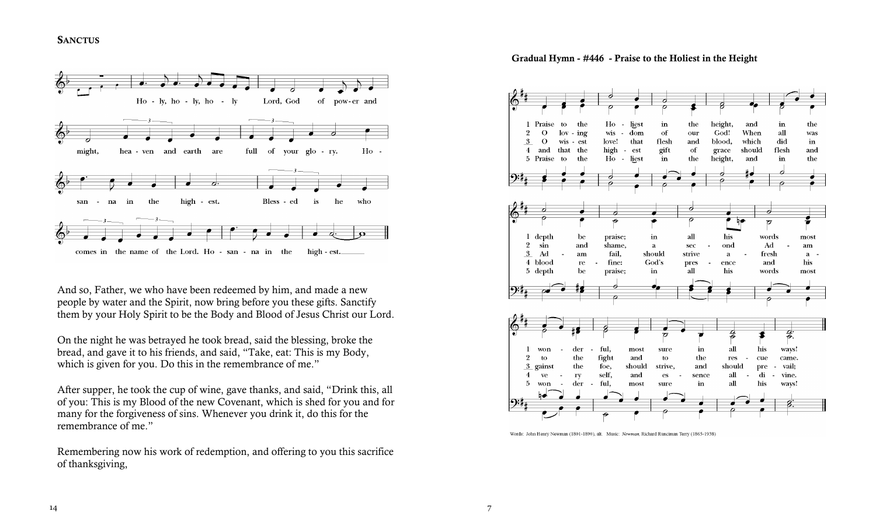#### **SANCTUS**



And so, Father, we who have been redeemed by him, and made a new people by water and the Spirit, now bring before you these gifts. Sanctify them by your Holy Spirit to be the Body and Blood of Jesus Christ our Lord.

On the night he was betrayed he took bread, said the blessing, broke the bread, and gave it to his friends, and said, "Take, eat: This is my Body, which is given for you. Do this in the remembrance of me."

After supper, he took the cup of wine, gave thanks, and said, "Drink this, all of you: This is my Blood of the new Covenant, which is shed for you and for many for the forgiveness of sins. Whenever you drink it, do this for the remembrance of me."

Remembering now his work of redemption, and offering to you this sacrifice of thanksgiving,

#### **Gradual Hymn - #446 - Praise to the Holiest in the Height**



Words: John Henry Newman (1801-1890), alt. Music: Newman, Richard Runciman Terry (1865-1938)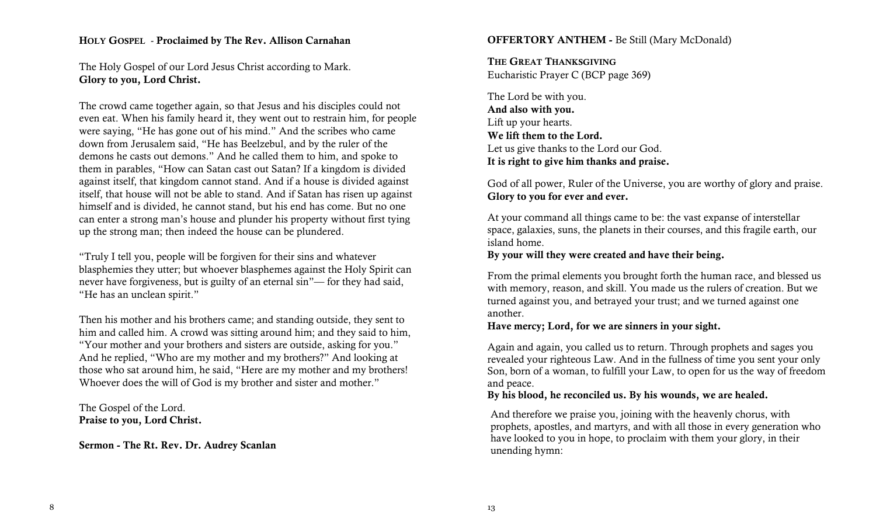### HOLY GOSPEL - **Proclaimed by The Rev.** Allison Carnahan

The Holy Gospel of our Lord Jesus Christ according to Mark. Glory to you, Lord Christ.

The crowd came together again, so that Jesus and his disciples could not even eat. When his family heard it, they went out to restrain him, for people were saying, "He has gone out of his mind." And the scribes who came down from Jerusalem said, "He has Beelzebul, and by the ruler of the demons he casts out demons." And he called them to him, and spoke to them in parables, "How can Satan cast out Satan? If a kingdom is divided against itself, that kingdom cannot stand. And if a house is divided against itself, that house will not be able to stand. And if Satan has risen up against himself and is divided, he cannot stand, but his end has come. But no one can enter a strong man's house and plunder his property without first tying up the strong man; then indeed the house can be plundered.

"Truly I tell you, people will be forgiven for their sins and whatever blasphemies they utter; but whoever blasphemes against the Holy Spirit can never have forgiveness, but is guilty of an eternal sin"— for they had said, "He has an unclean spirit."

Then his mother and his brothers came; and standing outside, they sent to him and called him. A crowd was sitting around him; and they said to him, "Your mother and your brothers and sisters are outside, asking for you." And he replied, "Who are my mother and my brothers?" And looking at those who sat around him, he said, "Here are my mother and my brothers! Whoever does the will of God is my brother and sister and mother."

The Gospel of the Lord. Praise to you, Lord Christ.

**Sermon - The Rt. Rev. Dr. Audrey Scanlan**

### **OFFERTORY ANTHEM -** Be Still (Mary McDonald)

THE GREAT THANKSGIVING Eucharistic Prayer C (BCP page 369)

The Lord be with you. And also with you. Lift up your hearts. We lift them to the Lord. Let us give thanks to the Lord our God. It is right to give him thanks and praise.

God of all power, Ruler of the Universe, you are worthy of glory and praise. Glory to you for ever and ever.

At your command all things came to be: the vast expanse of interstellar space, galaxies, suns, the planets in their courses, and this fragile earth, our island home.

### By your will they were created and have their being.

From the primal elements you brought forth the human race, and blessed us with memory, reason, and skill. You made us the rulers of creation. But we turned against you, and betrayed your trust; and we turned against one another.

### Have mercy; Lord, for we are sinners in your sight.

Again and again, you called us to return. Through prophets and sages you revealed your righteous Law. And in the fullness of time you sent your only Son, born of a woman, to fulfill your Law, to open for us the way of freedom and peace.

### **By his blood, he reconciled us. By his wounds, we are healed.**

And therefore we praise you, joining with the heavenly chorus, with prophets, apostles, and martyrs, and with all those in every generation who have looked to you in hope, to proclaim with them your glory, in their unending hymn: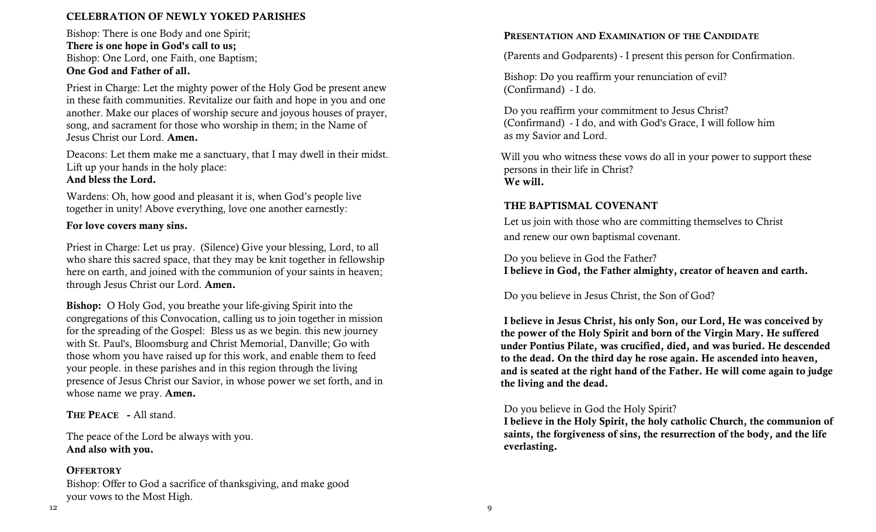### **CELEBRATION OF NEWLY YOKED PARISHES**

Bishop: There is one Body and one Spirit; **There is one hope in God's call to us;** Bishop: One Lord, one Faith, one Baptism; **One God and Father of all.**

Priest in Charge: Let the mighty power of the Holy God be present anew in these faith communities. Revitalize our faith and hope in you and one another. Make our places of worship secure and joyous houses of prayer, song, and sacrament for those who worship in them; in the Name of Jesus Christ our Lord. **Amen.**

Deacons: Let them make me a sanctuary, that I may dwell in their midst. Lift up your hands in the holy place: **And bless the Lord.**

Wardens: Oh, how good and pleasant it is, when God's people live together in unity! Above everything, love one another earnestly:

### **For love covers many sins.**

Priest in Charge: Let us pray. (Silence) Give your blessing, Lord, to all who share this sacred space, that they may be knit together in fellowship here on earth, and joined with the communion of your saints in heaven; through Jesus Christ our Lord. **Amen.** 

**Bishop:** O Holy God, you breathe your life-giving Spirit into the congregations of this Convocation, calling us to join together in mission for the spreading of the Gospel: Bless us as we begin. this new journey with St. Paul's, Bloomsburg and Christ Memorial, Danville; Go with those whom you have raised up for this work, and enable them to feed your people. in these parishes and in this region through the living presence of Jesus Christ our Savior, in whose power we set forth, and in whose name we pray. **Amen.**

THE PEACE - All stand.

The peace of the Lord be always with you. And also with you.

### **OFFERTORY**

Bishop: Offer to God a sacrifice of thanksgiving, and make good your vows to the Most High.

### PRESENTATION AND EXAMINATION OF THE CANDIDATE

(Parents and Godparents) - I present this person for Confirmation.

Bishop: Do you reaffirm your renunciation of evil? (Confirmand) - I do.

Do you reaffirm your commitment to Jesus Christ? (Confirmand) - I do, and with God's Grace, I will follow him as my Savior and Lord.

Will you who witness these vows do all in your power to support these persons in their life in Christ? **We will.** 

### **THE BAPTISMAL COVENANT**

Let us join with those who are committing themselves to Christ and renew our own baptismal covenant.

Do you believe in God the Father? **I believe in God, the Father almighty, creator of heaven and earth.** 

Do you believe in Jesus Christ, the Son of God?

**I believe in Jesus Christ, his only Son, our Lord, He was conceived by the power of the Holy Spirit and born of the Virgin Mary. He suffered under Pontius Pilate, was crucified, died, and was buried. He descended to the dead. On the third day he rose again. He ascended into heaven, and is seated at the right hand of the Father. He will come again to judge the living and the dead.**

### Do you believe in God the Holy Spirit?

**I believe in the Holy Spirit, the holy catholic Church, the communion of saints, the forgiveness of sins, the resurrection of the body, and the life everlasting.** 

12